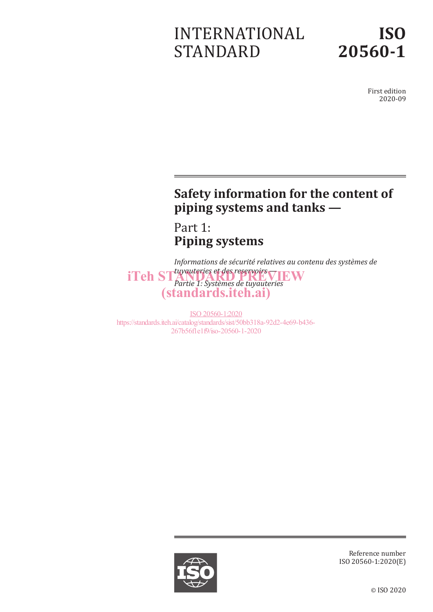# INTERNATIONAL STANDARD



First edition 2020-09

# **Safety information for the content of piping systems and tanks —**

Part 1: **Piping systems**

*Informations de sécurité relatives au contenu des systèmes de tuyauteries et des reservoirs — Partie 1: Systèmes de tuyauteries*<br> *Partie 1: Systèmes de tuyauteries* (standards.iteh.ai)

ISO 20560-1:2020 https://standards.iteh.ai/catalog/standards/sist/50bb318a-92d2-4e69-b436- 267b56f1e1f9/iso-20560-1-2020



Reference number ISO 20560-1:2020(E)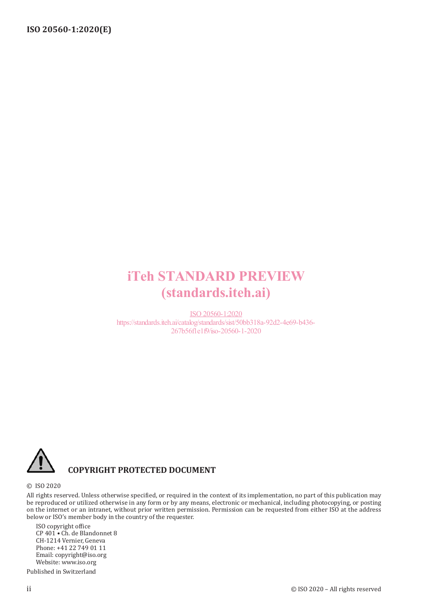# iTeh STANDARD PREVIEW (standards.iteh.ai)

ISO 20560-1:2020 https://standards.iteh.ai/catalog/standards/sist/50bb318a-92d2-4e69-b436- 267b56f1e1f9/iso-20560-1-2020



### **COPYRIGHT PROTECTED DOCUMENT**

#### © ISO 2020

All rights reserved. Unless otherwise specified, or required in the context of its implementation, no part of this publication may be reproduced or utilized otherwise in any form or by any means, electronic or mechanical, including photocopying, or posting on the internet or an intranet, without prior written permission. Permission can be requested from either ISO at the address below or ISO's member body in the country of the requester.

ISO copyright office CP 401 • Ch. de Blandonnet 8 CH-1214 Vernier, Geneva Phone: +41 22 749 01 11 Email: copyright@iso.org Website: www.iso.org Published in Switzerland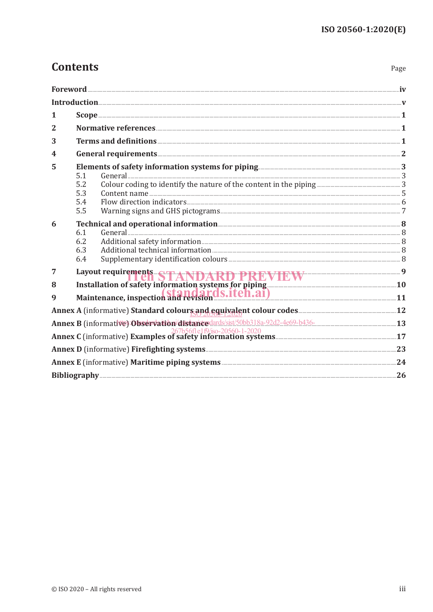Page

# **Contents**

 $\overline{3}$ 

| 1           |                                                                                                                                                                                                         |  |
|-------------|---------------------------------------------------------------------------------------------------------------------------------------------------------------------------------------------------------|--|
| 2           |                                                                                                                                                                                                         |  |
| 3           |                                                                                                                                                                                                         |  |
| 4           |                                                                                                                                                                                                         |  |
| 5           | 5.1<br>5.2<br>5.3<br>5.4<br>5.5                                                                                                                                                                         |  |
| 6           | 6.1<br>6.2<br>6.3<br>6.4                                                                                                                                                                                |  |
| 7<br>8<br>9 | Layout requirements STANDARD PREVIEW TW<br>Installation of safety information systems for piping 10<br>Maintenance, inspection and revision ds.itch.ai) Maintenance, inspection and revision ds.itch.ai |  |
|             | Annex A (informative) Standard colours and equivalent colour codes <b>manufactures</b> 12                                                                                                               |  |
|             | Annex B (informative) Observation distantedards/sist/50bb318a-92d2-4e69-b436-                                                                                                                           |  |
|             |                                                                                                                                                                                                         |  |
|             | Annex D (informative) Firefighting systems <b>Example 23</b>                                                                                                                                            |  |
|             | Annex E (informative) Maritime piping systems <b>Example 24</b> 24                                                                                                                                      |  |
|             | Bibliography 26                                                                                                                                                                                         |  |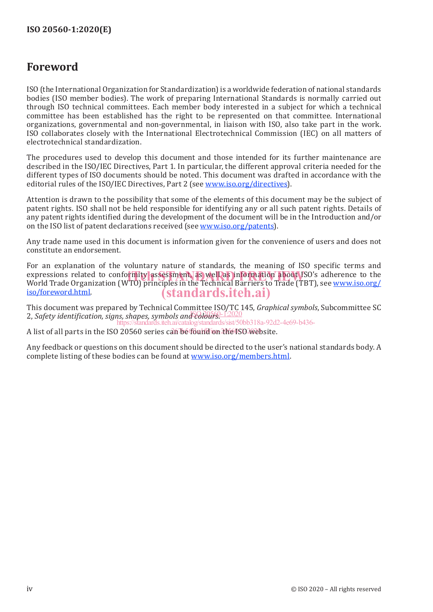## **Foreword**

ISO (the International Organization for Standardization) is a worldwide federation of national standards bodies (ISO member bodies). The work of preparing International Standards is normally carried out through ISO technical committees. Each member body interested in a subject for which a technical committee has been established has the right to be represented on that committee. International organizations, governmental and non-governmental, in liaison with ISO, also take part in the work. ISO collaborates closely with the International Electrotechnical Commission (IEC) on all matters of electrotechnical standardization.

The procedures used to develop this document and those intended for its further maintenance are described in the ISO/IEC Directives, Part 1. In particular, the different approval criteria needed for the different types of ISO documents should be noted. This document was drafted in accordance with the editorial rules of the ISO/IEC Directives, Part 2 (see www.iso.org/directives).

Attention is drawn to the possibility that some of the elements of this document may be the subject of patent rights. ISO shall not be held responsible for identifying any or all such patent rights. Details of any patent rights identified during the development of the document will be in the Introduction and/or on the ISO list of patent declarations received (see www.iso.org/patents).

Any trade name used in this document is information given for the convenience of users and does not constitute an endorsement.

For an explanation of the voluntary nature of standards, the meaning of ISO specific terms and expressions related to conformity assessment, as well as information about ISO's adherence to the<br>World Trade Organization (WTO) principles in the Technical Barriers to Trade (TBT), see www.iso.org/ World Trade Organization (WTO) principles in the Technical Barriers to Trade (TBT), see www.iso.org/ iso/foreword.html. (standards.iteh.ai)

This document was prepared by Technical Committee ISO/TC 145, *Graphical symbols*, Subcommittee SC 2, *Safety identification, signs, shapes, symbols and colours*. 2020

 $\mu$ ce, symbols und colours.<br>tandards.iteh.ai/catalog/standards/sist/50bb318a-92d2-4e69-b436-

A list of all parts in the ISO 20560 series can bé found on the <mark>ISO we</mark>bsite.

Any feedback or questions on this document should be directed to the user's national standards body. A complete listing of these bodies can be found at www.iso.org/members.html.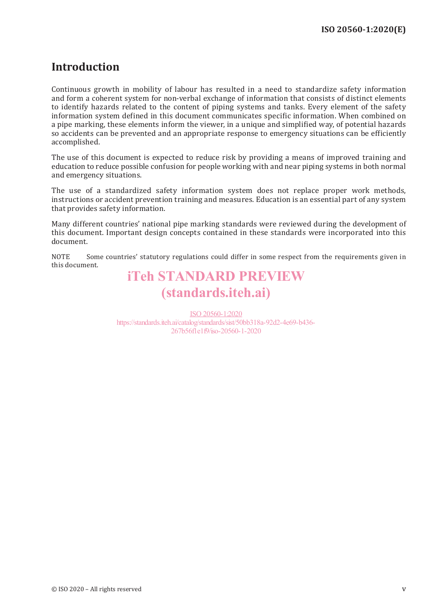## **Introduction**

Continuous growth in mobility of labour has resulted in a need to standardize safety information and form a coherent system for non-verbal exchange of information that consists of distinct elements to identify hazards related to the content of piping systems and tanks. Every element of the safety information system defined in this document communicates specific information. When combined on a pipe marking, these elements inform the viewer, in a unique and simplified way, of potential hazards so accidents can be prevented and an appropriate response to emergency situations can be efficiently accomplished.

The use of this document is expected to reduce risk by providing a means of improved training and education to reduce possible confusion for people working with and near piping systems in both normal and emergency situations.

The use of a standardized safety information system does not replace proper work methods, instructions or accident prevention training and measures. Education is an essential part of any system that provides safety information.

Many different countries' national pipe marking standards were reviewed during the development of this document. Important design concepts contained in these standards were incorporated into this document.

NOTE Some countries' statutory regulations could differ in some respect from the requirements given in this document.

# iTeh STANDARD PREVIEW (standards.iteh.ai)

ISO 20560-1:2020 https://standards.iteh.ai/catalog/standards/sist/50bb318a-92d2-4e69-b436- 267b56f1e1f9/iso-20560-1-2020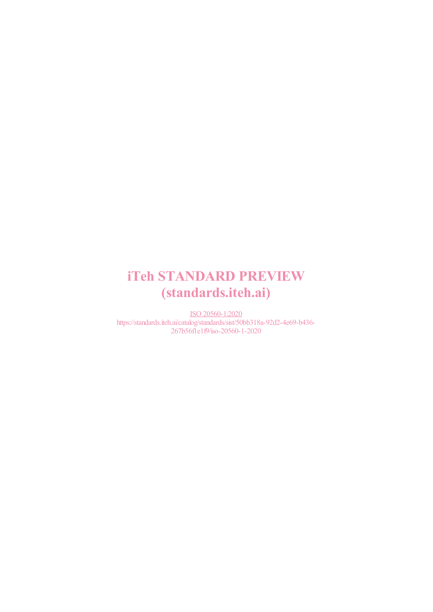# iTeh STANDARD PREVIEW (standards.iteh.ai)

ISO 20560-1:2020 https://standards.iteh.ai/catalog/standards/sist/50bb318a-92d2-4e69-b436- 267b56f1e1f9/iso-20560-1-2020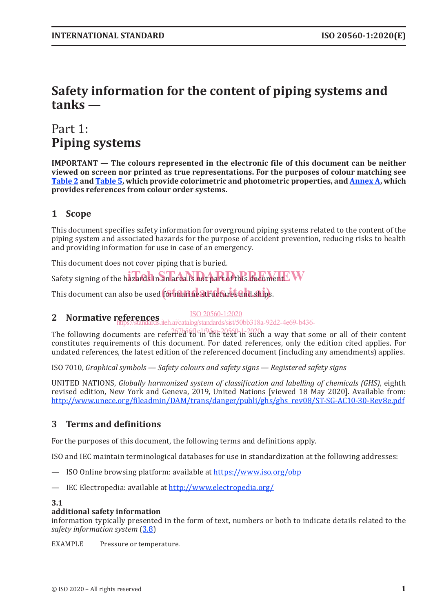## **Safety information for the content of piping systems and tanks —**

# Part 1: **Piping systems**

**IMPORTANT — The colours represented in the electronic file of this document can be neither viewed on screen nor printed as true representations. For the purposes of colour matching see Table 2 and Table 5, which provide colorimetric and photometric properties, and Annex A, which provides references from colour order systems.**

### **1 Scope**

This document specifies safety information for overground piping systems related to the content of the piping system and associated hazards for the purpose of accident prevention, reducing risks to health and providing information for use in case of an emergency.

This document does not cover piping that is buried.

Safety signing of the hazards in an area is not part of this document.  $\bf{W}$ 

This document can also be used <mark>fortmarine 3tructures and ship</mark>s.

#### ISO 20560-1:2020

**2 Normative references**<br>
https://standards.iteh.ai/catalog/standards/sist/50bb318a-92d2-4e69-b436-

The following documents are referred to  $\frac{10}{40}$  the text in such a way that some or all of their content constitutes requirements of this document. For dated references, only the edition cited applies. For undated references, the latest edition of the referenced document (including any amendments) applies.

ISO 7010, *Graphical symbols — Safety colours and safety signs — Registered safety signs*

UNITED NATIONS, *Globally harmonized system of classification and labelling of chemicals (GHS)*, eighth revised edition, New York and Geneva, 2019, United Nations [viewed 18 May 2020]. Available from: http://www.unece.org/fileadmin/DAM/trans/danger/publi/ghs/ghs\_rev08/ST-SG-AC10-30-Rev8e.pdf

### **3 Terms and definitions**

For the purposes of this document, the following terms and definitions apply.

ISO and IEC maintain terminological databases for use in standardization at the following addresses:

- ISO Online browsing platform: available at https://www.iso.org/obp
- IEC Electropedia: available at http://www.electropedia.org/

#### **3.1**

#### **additional safety information**

information typically presented in the form of text, numbers or both to indicate details related to the *safety information system* (3.8)

EXAMPLE Pressure or temperature.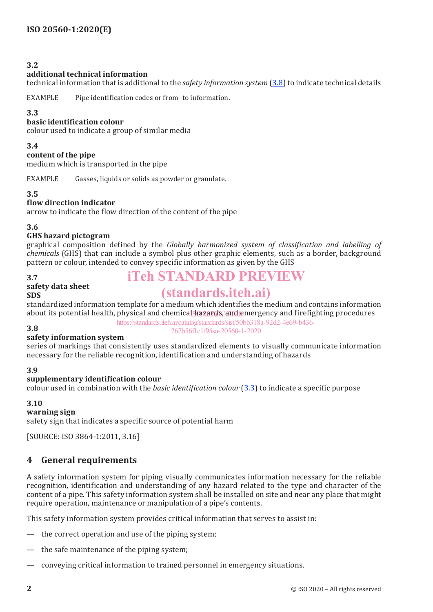#### **3.2**

#### **additional technical information**

technical information that is additional to the *safety information system* (3.8) to indicate technical details

EXAMPLE Pipe identification codes or from-to information.

#### **3.3**

#### **basic identification colour**

colour used to indicate a group of similar media

#### **3.4**

#### **content of the pipe**

medium which is transported in the pipe

EXAMPLE Gasses, liquids or solids as powder or granulate.

#### **3.5**

#### **flow direction indicator**

arrow to indicate the flow direction of the content of the pipe

#### **3.6**

#### **GHS hazard pictogram**

graphical composition defined by the *Globally harmonized system of classification and labelling of chemicals* (GHS) that can include a symbol plus other graphic elements, such as a border, background pattern or colour, intended to convey specific information as given by the GHS

#### **3.7**

#### **safety data sheet**

#### **SDS**

# iTeh STANDARD PREVIEW

## (standards.iteh.ai)

standardized information template for a medium which identifies the medium and contains information about its potential health, physical and chemica<u>lshazards, and e</u>mergency and firefighting procedures

https://standards.iteh.ai/catalog/standards/sist/50bb318a-92d2-4e69-b436-

#### **3.8 safety information system**

267b56f1e1f9/iso-20560-1-2020

series of markings that consistently uses standardized elements to visually communicate information necessary for the reliable recognition, identification and understanding of hazards

#### **3.9**

#### **supplementary identification colour**

colour used in combination with the *basic identification colour* (3.3) to indicate a specific purpose

#### **3.10**

#### **warning sign**

safety sign that indicates a specific source of potential harm

[SOURCE: ISO 3864-1:2011, 3.16]

### **4 General requirements**

A safety information system for piping visually communicates information necessary for the reliable recognition, identification and understanding of any hazard related to the type and character of the content of a pipe. This safety information system shall be installed on site and near any place that might require operation, maintenance or manipulation of a pipe's contents.

This safety information system provides critical information that serves to assist in:

- the correct operation and use of the piping system;
- the safe maintenance of the piping system;
- conveying critical information to trained personnel in emergency situations.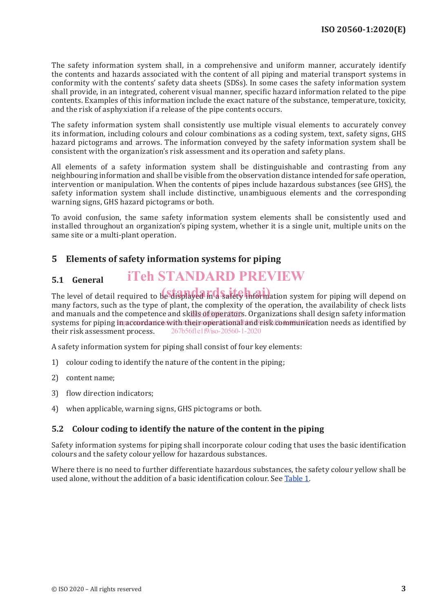The safety information system shall, in a comprehensive and uniform manner, accurately identify the contents and hazards associated with the content of all piping and material transport systems in conformity with the contents' safety data sheets (SDSs). In some cases the safety information system shall provide, in an integrated, coherent visual manner, specific hazard information related to the pipe contents. Examples of this information include the exact nature of the substance, temperature, toxicity, and the risk of asphyxiation if a release of the pipe contents occurs.

The safety information system shall consistently use multiple visual elements to accurately convey its information, including colours and colour combinations as a coding system, text, safety signs, GHS hazard pictograms and arrows. The information conveyed by the safety information system shall be consistent with the organization's risk assessment and its operation and safety plans.

All elements of a safety information system shall be distinguishable and contrasting from any neighbouring information and shall be visible from the observation distance intended for safe operation, intervention or manipulation. When the contents of pipes include hazardous substances (see GHS), the safety information system shall include distinctive, unambiguous elements and the corresponding warning signs, GHS hazard pictograms or both.

To avoid confusion, the same safety information system elements shall be consistently used and installed throughout an organization's piping system, whether it is a single unit, multiple units on the same site or a multi-plant operation.

### **5 Elements of safety information systems for piping**

#### **5.1 General** iTeh STANDARD PREVIEW

The level of detail required to be displayed in a safety information system for piping will depend on many factors, such as the type of plant, the complexity of the operation, the availability of check lists and manuals and the competence and skills of operators. Organizations shall design safety information systems for piping im accordance with their operational and susk communication needs as identified by their risk assessment process. 267b56f1e1f9/iso-20560-1-2020

A safety information system for piping shall consist of four key elements:

- 1) colour coding to identify the nature of the content in the piping;
- 2) content name;
- 3) flow direction indicators;
- 4) when applicable, warning signs, GHS pictograms or both.

#### **5.2 Colour coding to identify the nature of the content in the piping**

Safety information systems for piping shall incorporate colour coding that uses the basic identification colours and the safety colour yellow for hazardous substances.

Where there is no need to further differentiate hazardous substances, the safety colour yellow shall be used alone, without the addition of a basic identification colour. See Table 1.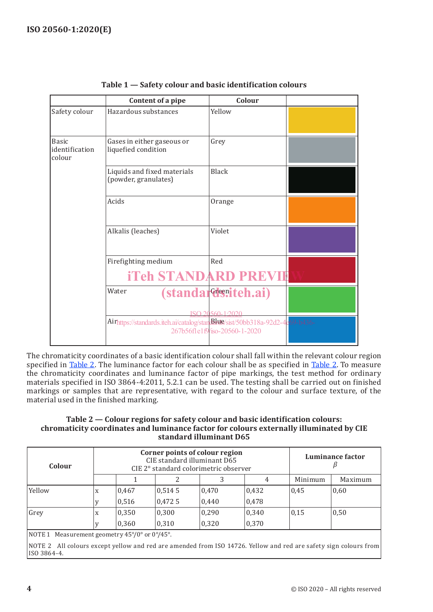|                                            | Content of a pipe                                                            | Colour                                            |  |  |  |  |  |
|--------------------------------------------|------------------------------------------------------------------------------|---------------------------------------------------|--|--|--|--|--|
| Safety colour                              | Hazardous substances                                                         | Yellow                                            |  |  |  |  |  |
| <b>Basic</b><br>lidentification<br> colour | Gases in either gaseous or<br>liquefied condition                            | Grey                                              |  |  |  |  |  |
|                                            | Liquids and fixed materials<br>(powder, granulates)                          | <b>Black</b>                                      |  |  |  |  |  |
|                                            | Acids                                                                        | Orange                                            |  |  |  |  |  |
|                                            | Alkalis (leaches)                                                            | Violet                                            |  |  |  |  |  |
|                                            | Firefighting medium                                                          | Red                                               |  |  |  |  |  |
|                                            | <b>iTeh STANDARD PREVII</b>                                                  |                                                   |  |  |  |  |  |
|                                            | Water                                                                        | (standardenitch.ai)                               |  |  |  |  |  |
|                                            | Airhttps://standards.iteh.ai/catalog/standalug/sist/50bb318a-92d2-4669-b436- | ISO 20560-1:2020<br>267b56f1e1f9/iso-20560-1-2020 |  |  |  |  |  |

**Table 1 — Safety colour and basic identification colours**

The chromaticity coordinates of a basic identification colour shall fall within the relevant colour region specified in Table 2. The luminance factor for each colour shall be as specified in Table 2. To measure the chromaticity coordinates and luminance factor of pipe markings, the test method for ordinary materials specified in ISO 3864-4:2011, 5.2.1 can be used. The testing shall be carried out on finished markings or samples that are representative, with regard to the colour and surface texture, of the material used in the finished marking.

#### **Table 2 — Colour regions for safety colour and basic identification colours: chromaticity coordinates and luminance factor for colours externally illuminated by CIE standard illuminant D65**

| Luminance factor                              |  |  |  |  |  |
|-----------------------------------------------|--|--|--|--|--|
| Minimum<br>Maximum                            |  |  |  |  |  |
| 0,60                                          |  |  |  |  |  |
|                                               |  |  |  |  |  |
| 0,50                                          |  |  |  |  |  |
|                                               |  |  |  |  |  |
| NOTE 1 Measurement geometry 45°/0° or 0°/45°. |  |  |  |  |  |
|                                               |  |  |  |  |  |

NOTE 2 All colours except yellow and red are amended from ISO 14726. Yellow and red are safety sign colours from ISO 3864-4.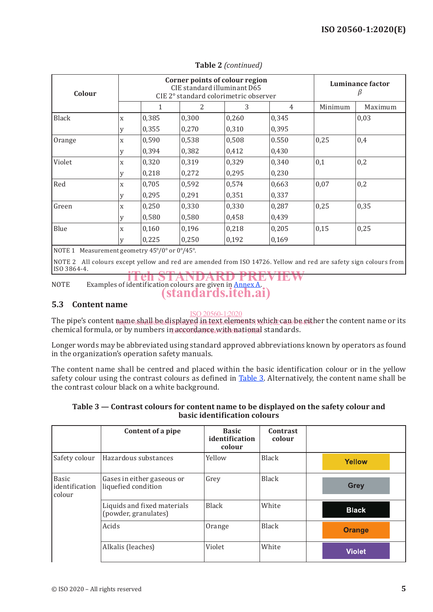| Colour | Corner points of colour region<br>CIE standard illuminant D65<br>CIE 2° standard colorimetric observer |       |       |       | Luminance factor |         |         |
|--------|--------------------------------------------------------------------------------------------------------|-------|-------|-------|------------------|---------|---------|
|        |                                                                                                        | 1     | 2     | 3     | 4                | Minimum | Maximum |
| Black  | $\mathbf X$                                                                                            | 0,385 | 0,300 | 0,260 | 0,345            |         | 0,03    |
|        | V                                                                                                      | 0,355 | 0,270 | 0,310 | 0,395            |         |         |
| Orange | X                                                                                                      | 0,590 | 0,538 | 0,508 | 0.550            | 0,25    | 0,4     |
|        | V                                                                                                      | 0,394 | 0,382 | 0,412 | 0,430            |         |         |
| Violet | X                                                                                                      | 0,320 | 0,319 | 0,329 | 0,340            | 0,1     | 0,2     |
|        | V                                                                                                      | 0,218 | 0,272 | 0,295 | 0,230            |         |         |
| Red    | X                                                                                                      | 0,705 | 0,592 | 0,574 | 0,663            | 0,07    | 0,2     |
|        | V                                                                                                      | 0,295 | 0,291 | 0,351 | 0,337            |         |         |
| Green  | X                                                                                                      | 0,250 | 0,330 | 0,330 | 0,287            | 0,25    | 0,35    |
|        | V                                                                                                      | 0,580 | 0,580 | 0,458 | 0,439            |         |         |
| Blue   | X                                                                                                      | 0,160 | 0,196 | 0,218 | 0,205            | 0,15    | 0,25    |
|        | V                                                                                                      | 0,225 | 0,250 | 0,192 | 0,169            |         |         |

**Table 2** *(continued)*

NOTE 1 Measurement geometry 45°/0° or 0°/45°.

NOTE 2 All colours except yellow and red are amended from ISO 14726. Yellow and red are safety sign colours from ISO 3864-4.

NOTE Examples of identification colours are given in Annex A.

## (standards.iteh.ai)

#### **5.3 Content name**

#### ISO 20560-1:2020

The pipe's content  $\frac{1}{2}$  and  $\frac{1}{2}$  and  $\frac{1}{2}$  and  $\frac{1}{2}$  and  $\frac{1}{2}$  are  $\frac{1}{2}$  and  $\frac{1}{2}$  and  $\frac{1}{2}$  and  $\frac{1}{2}$  and  $\frac{1}{2}$  and  $\frac{1}{2}$  and  $\frac{1}{2}$  and  $\frac{1}{2}$  and  $\frac{1}{2}$  and  $\frac{1}{$ chemical formula, or by numbers in accondance with national standards.

Longer words may be abbreviated using standard approved abbreviations known by operators as found in the organization's operation safety manuals.

The content name shall be centred and placed within the basic identification colour or in the yellow safety colour using the contrast colours as defined in Table 3. Alternatively, the content name shall be the contrast colour black on a white background.

#### **Table 3 — Contrast colours for content name to be displayed on the safety colour and basic identification colours**

|                                    | Content of a pipe                                   | <b>Basic</b><br>identification<br>colour | <b>Contrast</b><br>colour |               |
|------------------------------------|-----------------------------------------------------|------------------------------------------|---------------------------|---------------|
| Safety colour                      | Hazardous substances                                | Yellow                                   | Black                     | Yellow        |
| Basic<br>identification<br> colour | Gases in either gaseous or<br>liquefied condition   | Grey                                     | Black                     | <b>Grey</b>   |
|                                    | Liquids and fixed materials<br>(powder, granulates) | Black                                    | White                     | <b>Black</b>  |
|                                    | Acids                                               | Orange                                   | Black                     | <b>Orange</b> |
|                                    | Alkalis (leaches)                                   | Violet                                   | White                     | <b>Violet</b> |